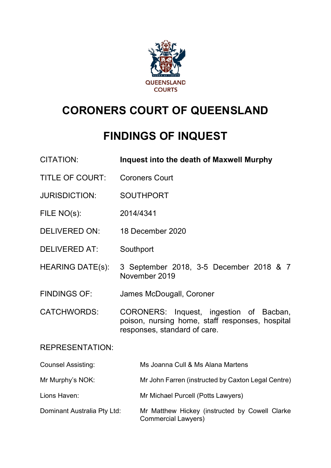

# **CORONERS COURT OF QUEENSLAND**

# **FINDINGS OF INQUEST**

| <b>CITATION:</b>            | <b>Inquest into the death of Maxwell Murphy</b>                                                                            |
|-----------------------------|----------------------------------------------------------------------------------------------------------------------------|
| <b>TITLE OF COURT:</b>      | <b>Coroners Court</b>                                                                                                      |
| <b>JURISDICTION:</b>        | <b>SOUTHPORT</b>                                                                                                           |
| FILE NO(s):                 | 2014/4341                                                                                                                  |
| <b>DELIVERED ON:</b>        | 18 December 2020                                                                                                           |
| <b>DELIVERED AT:</b>        | Southport                                                                                                                  |
| <b>HEARING DATE(s):</b>     | 3 September 2018, 3-5 December 2018 & 7<br>November 2019                                                                   |
| <b>FINDINGS OF:</b>         | James McDougall, Coroner                                                                                                   |
| <b>CATCHWORDS:</b>          | CORONERS: Inquest, ingestion of Bacban,<br>poison, nursing home, staff responses, hospital<br>responses, standard of care. |
| <b>REPRESENTATION:</b>      |                                                                                                                            |
| <b>Counsel Assisting:</b>   | Ms Joanna Cull & Ms Alana Martens                                                                                          |
| Mr Murphy's NOK:            | Mr John Farren (instructed by Caxton Legal Centre)                                                                         |
| Lions Haven:                | Mr Michael Purcell (Potts Lawyers)                                                                                         |
| Dominant Australia Pty Ltd: | Mr Matthew Hickey (instructed by Cowell Clarke<br><b>Commercial Lawyers)</b>                                               |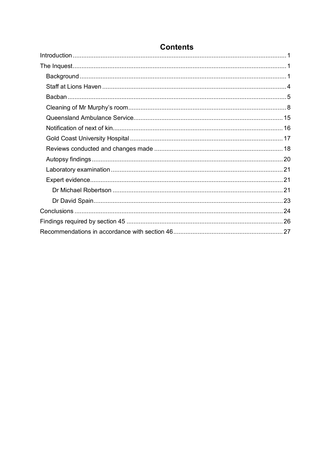# **Contents**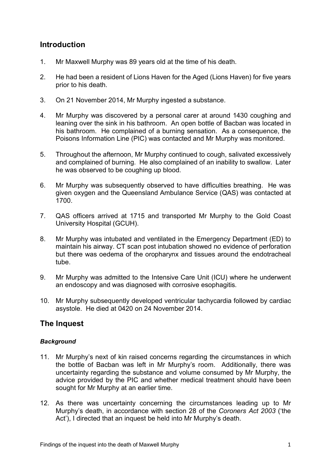## <span id="page-2-0"></span>**Introduction**

- 1. Mr Maxwell Murphy was 89 years old at the time of his death.
- 2. He had been a resident of Lions Haven for the Aged (Lions Haven) for five years prior to his death.
- 3. On 21 November 2014, Mr Murphy ingested a substance.
- 4. Mr Murphy was discovered by a personal carer at around 1430 coughing and leaning over the sink in his bathroom. An open bottle of Bacban was located in his bathroom. He complained of a burning sensation. As a consequence, the Poisons Information Line (PIC) was contacted and Mr Murphy was monitored.
- 5. Throughout the afternoon, Mr Murphy continued to cough, salivated excessively and complained of burning. He also complained of an inability to swallow. Later he was observed to be coughing up blood.
- 6. Mr Murphy was subsequently observed to have difficulties breathing. He was given oxygen and the Queensland Ambulance Service (QAS) was contacted at 1700.
- 7. QAS officers arrived at 1715 and transported Mr Murphy to the Gold Coast University Hospital (GCUH).
- 8. Mr Murphy was intubated and ventilated in the Emergency Department (ED) to maintain his airway. CT scan post intubation showed no evidence of perforation but there was oedema of the oropharynx and tissues around the endotracheal tube.
- 9. Mr Murphy was admitted to the Intensive Care Unit (ICU) where he underwent an endoscopy and was diagnosed with corrosive esophagitis.
- 10. Mr Murphy subsequently developed ventricular tachycardia followed by cardiac asystole. He died at 0420 on 24 November 2014.

## <span id="page-2-1"></span>**The Inquest**

#### <span id="page-2-2"></span>*Background*

- 11. Mr Murphy's next of kin raised concerns regarding the circumstances in which the bottle of Bacban was left in Mr Murphy's room. Additionally, there was uncertainty regarding the substance and volume consumed by Mr Murphy, the advice provided by the PIC and whether medical treatment should have been sought for Mr Murphy at an earlier time.
- 12. As there was uncertainty concerning the circumstances leading up to Mr Murphy's death, in accordance with section 28 of the *Coroners Act 2003* ('the Act'), I directed that an inquest be held into Mr Murphy's death.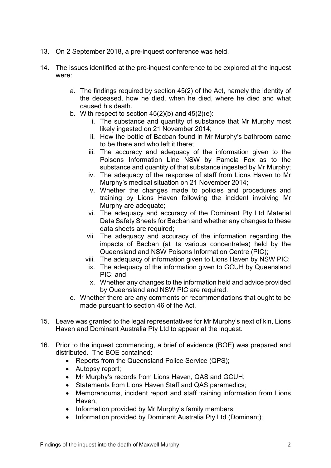- 13. On 2 September 2018, a pre-inquest conference was held.
- 14. The issues identified at the pre-inquest conference to be explored at the inquest were:
	- a. The findings required by section 45(2) of the Act, namely the identity of the deceased, how he died, when he died, where he died and what caused his death.
	- b. With respect to section  $45(2)(b)$  and  $45(2)(e)$ :
		- i. The substance and quantity of substance that Mr Murphy most likely ingested on 21 November 2014;
		- ii. How the bottle of Bacban found in Mr Murphy's bathroom came to be there and who left it there;
		- iii. The accuracy and adequacy of the information given to the Poisons Information Line NSW by Pamela Fox as to the substance and quantity of that substance ingested by Mr Murphy;
		- iv. The adequacy of the response of staff from Lions Haven to Mr Murphy's medical situation on 21 November 2014;
		- v. Whether the changes made to policies and procedures and training by Lions Haven following the incident involving Mr Murphy are adequate;
		- vi. The adequacy and accuracy of the Dominant Pty Ltd Material Data Safety Sheets for Bacban and whether any changes to these data sheets are required;
		- vii. The adequacy and accuracy of the information regarding the impacts of Bacban (at its various concentrates) held by the Queensland and NSW Poisons Information Centre (PIC);
		- viii. The adequacy of information given to Lions Haven by NSW PIC;
		- ix. The adequacy of the information given to GCUH by Queensland PIC; and
		- x. Whether any changes to the information held and advice provided by Queensland and NSW PIC are required.
	- c. Whether there are any comments or recommendations that ought to be made pursuant to section 46 of the Act*.*
- 15. Leave was granted to the legal representatives for Mr Murphy's next of kin, Lions Haven and Dominant Australia Pty Ltd to appear at the inquest.
- 16. Prior to the inquest commencing, a brief of evidence (BOE) was prepared and distributed. The BOE contained:
	- Reports from the Queensland Police Service (QPS);
	- Autopsy report:
	- Mr Murphy's records from Lions Haven, QAS and GCUH;
	- Statements from Lions Haven Staff and QAS paramedics;
	- Memorandums, incident report and staff training information from Lions Haven;
	- Information provided by Mr Murphy's family members;
	- Information provided by Dominant Australia Pty Ltd (Dominant);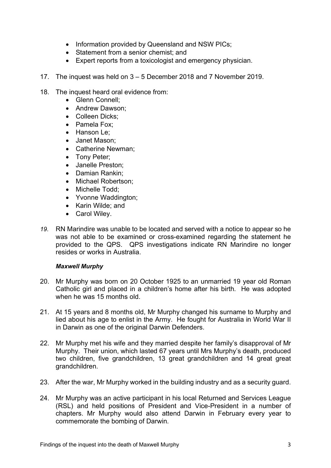- Information provided by Queensland and NSW PICs;
- Statement from a senior chemist; and
- Expert reports from a toxicologist and emergency physician.
- 17. The inquest was held on 3 5 December 2018 and 7 November 2019.
- 18. The inquest heard oral evidence from:
	- Glenn Connell;
	- Andrew Dawson;
	- Colleen Dicks;
	- Pamela Fox;
	- Hanson Le:
	- Janet Mason;
	- Catherine Newman;
	- Tony Peter;
	- Janelle Preston;
	- Damian Rankin;
	- Michael Robertson;
	- Michelle Todd:
	- Yvonne Waddington;
	- Karin Wilde; and
	- Carol Wiley.
- *19.* RN Marindire was unable to be located and served with a notice to appear so he was not able to be examined or cross-examined regarding the statement he provided to the QPS. QPS investigations indicate RN Marindire no longer resides or works in Australia.

#### *Maxwell Murphy*

- 20. Mr Murphy was born on 20 October 1925 to an unmarried 19 year old Roman Catholic girl and placed in a children's home after his birth. He was adopted when he was 15 months old.
- 21. At 15 years and 8 months old, Mr Murphy changed his surname to Murphy and lied about his age to enlist in the Army. He fought for Australia in World War II in Darwin as one of the original Darwin Defenders.
- 22. Mr Murphy met his wife and they married despite her family's disapproval of Mr Murphy. Their union, which lasted 67 years until Mrs Murphy's death, produced two children, five grandchildren, 13 great grandchildren and 14 great great grandchildren.
- 23. After the war, Mr Murphy worked in the building industry and as a security guard.
- 24. Mr Murphy was an active participant in his local Returned and Services League (RSL) and held positions of President and Vice-President in a number of chapters. Mr Murphy would also attend Darwin in February every year to commemorate the bombing of Darwin.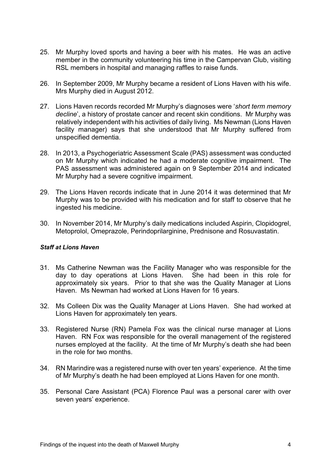- 25. Mr Murphy loved sports and having a beer with his mates. He was an active member in the community volunteering his time in the Campervan Club, visiting RSL members in hospital and managing raffles to raise funds.
- 26. In September 2009, Mr Murphy became a resident of Lions Haven with his wife. Mrs Murphy died in August 2012.
- 27. Lions Haven records recorded Mr Murphy's diagnoses were '*short term memory decline*', a history of prostate cancer and recent skin conditions. Mr Murphy was relatively independent with his activities of daily living. Ms Newman (Lions Haven facility manager) says that she understood that Mr Murphy suffered from unspecified dementia.
- 28. In 2013, a Psychogeriatric Assessment Scale (PAS) assessment was conducted on Mr Murphy which indicated he had a moderate cognitive impairment. The PAS assessment was administered again on 9 September 2014 and indicated Mr Murphy had a severe cognitive impairment.
- 29. The Lions Haven records indicate that in June 2014 it was determined that Mr Murphy was to be provided with his medication and for staff to observe that he ingested his medicine.
- 30. In November 2014, Mr Murphy's daily medications included Aspirin, Clopidogrel, Metoprolol, Omeprazole, Perindoprilarginine, Prednisone and Rosuvastatin.

#### <span id="page-5-0"></span>*Staff at Lions Haven*

- 31. Ms Catherine Newman was the Facility Manager who was responsible for the day to day operations at Lions Haven. She had been in this role for approximately six years. Prior to that she was the Quality Manager at Lions Haven. Ms Newman had worked at Lions Haven for 16 years.
- 32. Ms Colleen Dix was the Quality Manager at Lions Haven. She had worked at Lions Haven for approximately ten years.
- 33. Registered Nurse (RN) Pamela Fox was the clinical nurse manager at Lions Haven. RN Fox was responsible for the overall management of the registered nurses employed at the facility. At the time of Mr Murphy's death she had been in the role for two months.
- 34. RN Marindire was a registered nurse with over ten years' experience. At the time of Mr Murphy's death he had been employed at Lions Haven for one month.
- 35. Personal Care Assistant (PCA) Florence Paul was a personal carer with over seven years' experience.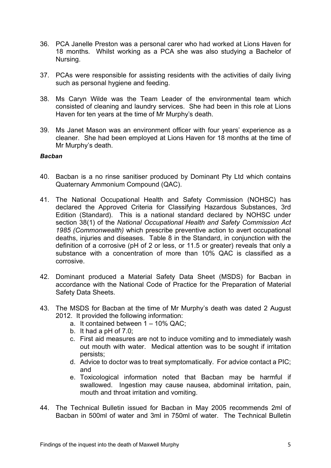- 36. PCA Janelle Preston was a personal carer who had worked at Lions Haven for 18 months. Whilst working as a PCA she was also studying a Bachelor of Nursing.
- 37. PCAs were responsible for assisting residents with the activities of daily living such as personal hygiene and feeding.
- 38. Ms Caryn Wilde was the Team Leader of the environmental team which consisted of cleaning and laundry services. She had been in this role at Lions Haven for ten years at the time of Mr Murphy's death.
- 39. Ms Janet Mason was an environment officer with four years' experience as a cleaner. She had been employed at Lions Haven for 18 months at the time of Mr Murphy's death.

#### <span id="page-6-0"></span>*Bacban*

- 40. Bacban is a no rinse sanitiser produced by Dominant Pty Ltd which contains Quaternary Ammonium Compound (QAC).
- 41. The National Occupational Health and Safety Commission (NOHSC) has declared the Approved Criteria for Classifying Hazardous Substances, 3rd Edition (Standard). This is a national standard declared by NOHSC under section 38(1) of the *National Occupational Health and Safety Commission Act 1985 (Commonwealth)* which prescribe preventive action to avert occupational deaths, injuries and diseases. Table 8 in the Standard, in conjunction with the definition of a corrosive (pH of 2 or less, or 11.5 or greater) reveals that only a substance with a concentration of more than 10% QAC is classified as a corrosive.
- 42. Dominant produced a Material Safety Data Sheet (MSDS) for Bacban in accordance with the National Code of Practice for the Preparation of Material Safety Data Sheets.
- 43. The MSDS for Bacban at the time of Mr Murphy's death was dated 2 August 2012. It provided the following information:
	- a. It contained between 1 10% QAC;
	- b. It had a pH of 7.0;
	- c. First aid measures are not to induce vomiting and to immediately wash out mouth with water. Medical attention was to be sought if irritation persists;
	- d. Advice to doctor was to treat symptomatically. For advice contact a PIC; and
	- e. Toxicological information noted that Bacban may be harmful if swallowed. Ingestion may cause nausea, abdominal irritation, pain, mouth and throat irritation and vomiting.
- 44. The Technical Bulletin issued for Bacban in May 2005 recommends 2ml of Bacban in 500ml of water and 3ml in 750ml of water. The Technical Bulletin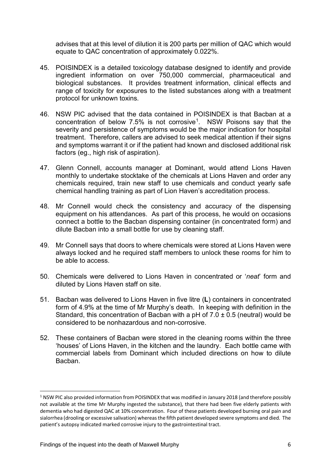advises that at this level of dilution it is 200 parts per million of QAC which would equate to QAC concentration of approximately 0.022%.

- 45. POISINDEX is a detailed toxicology database designed to identify and provide ingredient information on over 750,000 commercial, pharmaceutical and biological substances. It provides treatment information, clinical effects and range of toxicity for exposures to the listed substances along with a treatment protocol for unknown toxins.
- 46. NSW PIC advised that the data contained in POISINDEX is that Bacban at a concentration of below 7.5% is not corrosive[1.](#page-7-0) NSW Poisons say that the severity and persistence of symptoms would be the major indication for hospital treatment. Therefore, callers are advised to seek medical attention if their signs and symptoms warrant it or if the patient had known and disclosed additional risk factors (eg., high risk of aspiration).
- 47. Glenn Connell, accounts manager at Dominant, would attend Lions Haven monthly to undertake stocktake of the chemicals at Lions Haven and order any chemicals required, train new staff to use chemicals and conduct yearly safe chemical handling training as part of Lion Haven's accreditation process.
- 48. Mr Connell would check the consistency and accuracy of the dispensing equipment on his attendances. As part of this process, he would on occasions connect a bottle to the Bacban dispensing container (in concentrated form) and dilute Bacban into a small bottle for use by cleaning staff.
- 49. Mr Connell says that doors to where chemicals were stored at Lions Haven were always locked and he required staff members to unlock these rooms for him to be able to access.
- 50. Chemicals were delivered to Lions Haven in concentrated or '*neat*' form and diluted by Lions Haven staff on site.
- 51. Bacban was delivered to Lions Haven in five litre (**L**) containers in concentrated form of 4.9% at the time of Mr Murphy's death. In keeping with definition in the Standard, this concentration of Bacban with a pH of  $7.0 \pm 0.5$  (neutral) would be considered to be nonhazardous and non-corrosive.
- 52. These containers of Bacban were stored in the cleaning rooms within the three 'houses' of Lions Haven, in the kitchen and the laundry. Each bottle came with commercial labels from Dominant which included directions on how to dilute Bacban.

<span id="page-7-0"></span><sup>&</sup>lt;sup>1</sup> NSW PIC also provided information from POISINDEX that was modified in January 2018 (and therefore possibly not available at the time Mr Murphy ingested the substance), that there had been five elderly patients with dementia who had digested QAC at 10% concentration. Four of these patients developed burning oral pain and sialorrhea (drooling or excessive salivation) whereas the fifth patient developed severe symptoms and died. The patient's autopsy indicated marked corrosive injury to the gastrointestinal tract.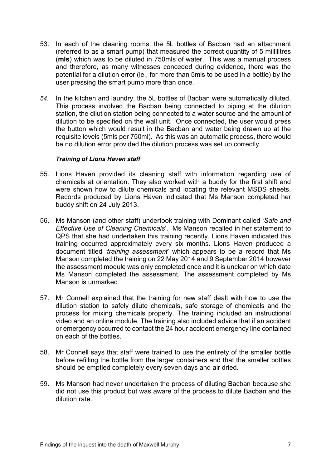- 53. In each of the cleaning rooms, the 5L bottles of Bacban had an attachment (referred to as a smart pump) that measured the correct quantity of 5 millilitres (**mls**) which was to be diluted in 750mls of water. This was a manual process and therefore, as many witnesses conceded during evidence, there was the potential for a dilution error (ie., for more than 5mls to be used in a bottle) by the user pressing the smart pump more than once.
- *54.* In the kitchen and laundry, the 5L bottles of Bacban were automatically diluted. This process involved the Bacban being connected to piping at the dilution station, the dilution station being connected to a water source and the amount of dilution to be specified on the wall unit. Once connected, the user would press the button which would result in the Bacban and water being drawn up at the requisite levels (5mls per 750ml). As this was an automatic process, there would be no dilution error provided the dilution process was set up correctly.

#### *Training of Lions Haven staff*

- 55. Lions Haven provided its cleaning staff with information regarding use of chemicals at orientation. They also worked with a buddy for the first shift and were shown how to dilute chemicals and locating the relevant MSDS sheets. Records produced by Lions Haven indicated that Ms Manson completed her buddy shift on 24 July 2013.
- 56. Ms Manson (and other staff) undertook training with Dominant called '*Safe and Effective Use of Cleaning Chemicals*'. Ms Manson recalled in her statement to QPS that she had undertaken this training recently. Lions Haven indicated this training occurred approximately every six months. Lions Haven produced a document titled '*training assessment*' which appears to be a record that Ms Manson completed the training on 22 May 2014 and 9 September 2014 however the assessment module was only completed once and it is unclear on which date Ms Manson completed the assessment. The assessment completed by Ms Manson is unmarked.
- 57. Mr Connell explained that the training for new staff dealt with how to use the dilution station to safely dilute chemicals, safe storage of chemicals and the process for mixing chemicals properly. The training included an instructional video and an online module. The training also included advice that if an accident or emergency occurred to contact the 24 hour accident emergency line contained on each of the bottles.
- 58. Mr Connell says that staff were trained to use the entirety of the smaller bottle before refilling the bottle from the larger containers and that the smaller bottles should be emptied completely every seven days and air dried.
- 59. Ms Manson had never undertaken the process of diluting Bacban because she did not use this product but was aware of the process to dilute Bacban and the dilution rate.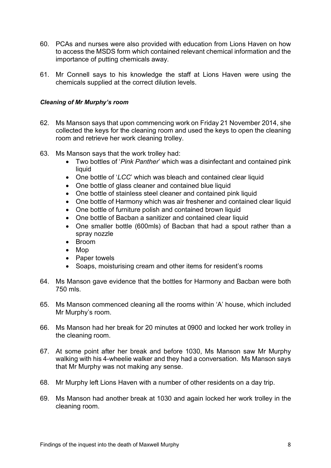- 60. PCAs and nurses were also provided with education from Lions Haven on how to access the MSDS form which contained relevant chemical information and the importance of putting chemicals away.
- 61. Mr Connell says to his knowledge the staff at Lions Haven were using the chemicals supplied at the correct dilution levels.

#### <span id="page-9-0"></span>*Cleaning of Mr Murphy's room*

- 62. Ms Manson says that upon commencing work on Friday 21 November 2014, she collected the keys for the cleaning room and used the keys to open the cleaning room and retrieve her work cleaning trolley.
- 63. Ms Manson says that the work trolley had:
	- Two bottles of '*Pink Panther*' which was a disinfectant and contained pink liquid
	- One bottle of '*LCC*' which was bleach and contained clear liquid
	- One bottle of glass cleaner and contained blue liquid
	- One bottle of stainless steel cleaner and contained pink liquid
	- One bottle of Harmony which was air freshener and contained clear liquid
	- One bottle of furniture polish and contained brown liquid
	- One bottle of Bacban a sanitizer and contained clear liquid
	- One smaller bottle (600mls) of Bacban that had a spout rather than a spray nozzle
	- Broom
	- Mop
	- Paper towels
	- Soaps, moisturising cream and other items for resident's rooms
- 64. Ms Manson gave evidence that the bottles for Harmony and Bacban were both 750 mls.
- 65. Ms Manson commenced cleaning all the rooms within 'A' house, which included Mr Murphy's room.
- 66. Ms Manson had her break for 20 minutes at 0900 and locked her work trolley in the cleaning room.
- 67. At some point after her break and before 1030, Ms Manson saw Mr Murphy walking with his 4-wheelie walker and they had a conversation. Ms Manson says that Mr Murphy was not making any sense.
- 68. Mr Murphy left Lions Haven with a number of other residents on a day trip.
- 69. Ms Manson had another break at 1030 and again locked her work trolley in the cleaning room.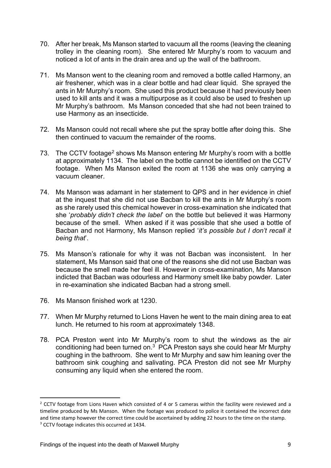- 70. After her break, Ms Manson started to vacuum all the rooms (leaving the cleaning trolley in the cleaning room). She entered Mr Murphy's room to vacuum and noticed a lot of ants in the drain area and up the wall of the bathroom.
- 71. Ms Manson went to the cleaning room and removed a bottle called Harmony, an air freshener, which was in a clear bottle and had clear liquid. She sprayed the ants in Mr Murphy's room. She used this product because it had previously been used to kill ants and it was a multipurpose as it could also be used to freshen up Mr Murphy's bathroom. Ms Manson conceded that she had not been trained to use Harmony as an insecticide.
- 72. Ms Manson could not recall where she put the spray bottle after doing this. She then continued to vacuum the remainder of the rooms.
- 73. The CCTV footage<sup>[2](#page-10-0)</sup> shows Ms Manson entering Mr Murphy's room with a bottle at approximately 1134. The label on the bottle cannot be identified on the CCTV footage. When Ms Manson exited the room at 1136 she was only carrying a vacuum cleaner.
- 74. Ms Manson was adamant in her statement to QPS and in her evidence in chief at the inquest that she did not use Bacban to kill the ants in Mr Murphy's room as she rarely used this chemical however in cross-examination she indicated that she '*probably didn't check the label*' on the bottle but believed it was Harmony because of the smell. When asked if it was possible that she used a bottle of Bacban and not Harmony, Ms Manson replied '*it's possible but I don't recall it being that*'.
- 75. Ms Manson's rationale for why it was not Bacban was inconsistent. In her statement, Ms Manson said that one of the reasons she did not use Bacban was because the smell made her feel ill. However in cross-examination, Ms Manson indicted that Bacban was odourless and Harmony smelt like baby powder. Later in re-examination she indicated Bacban had a strong smell.
- 76. Ms Manson finished work at 1230.
- 77. When Mr Murphy returned to Lions Haven he went to the main dining area to eat lunch. He returned to his room at approximately 1348.
- 78. PCA Preston went into Mr Murphy's room to shut the windows as the air conditioning had been turned on. $3<sup>3</sup>$  PCA Preston says she could hear Mr Murphy coughing in the bathroom. She went to Mr Murphy and saw him leaning over the bathroom sink coughing and salivating. PCA Preston did not see Mr Murphy consuming any liquid when she entered the room.

<span id="page-10-1"></span><span id="page-10-0"></span> $2$  CCTV footage from Lions Haven which consisted of 4 or 5 cameras within the facility were reviewed and a timeline produced by Ms Manson. When the footage was produced to police it contained the incorrect date and time stamp however the correct time could be ascertained by adding 22 hours to the time on the stamp. <sup>3</sup> CCTV footage indicates this occurred at 1434.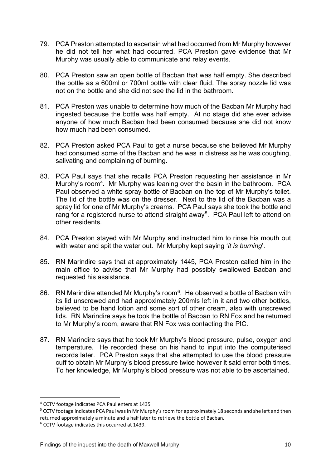- 79. PCA Preston attempted to ascertain what had occurred from Mr Murphy however he did not tell her what had occurred. PCA Preston gave evidence that Mr Murphy was usually able to communicate and relay events.
- 80. PCA Preston saw an open bottle of Bacban that was half empty. She described the bottle as a 600ml or 700ml bottle with clear fluid. The spray nozzle lid was not on the bottle and she did not see the lid in the bathroom.
- 81. PCA Preston was unable to determine how much of the Bacban Mr Murphy had ingested because the bottle was half empty. At no stage did she ever advise anyone of how much Bacban had been consumed because she did not know how much had been consumed.
- 82. PCA Preston asked PCA Paul to get a nurse because she believed Mr Murphy had consumed some of the Bacban and he was in distress as he was coughing, salivating and complaining of burning.
- 83. PCA Paul says that she recalls PCA Preston requesting her assistance in Mr Murphy's room<sup>4</sup>. Mr Murphy was leaning over the basin in the bathroom. PCA Paul observed a white spray bottle of Bacban on the top of Mr Murphy's toilet. The lid of the bottle was on the dresser. Next to the lid of the Bacban was a spray lid for one of Mr Murphy's creams. PCA Paul says she took the bottle and rang for a registered nurse to attend straight away<sup>5</sup>. PCA Paul left to attend on other residents.
- 84. PCA Preston stayed with Mr Murphy and instructed him to rinse his mouth out with water and spit the water out. Mr Murphy kept saying '*it is burning*'.
- 85. RN Marindire says that at approximately 1445, PCA Preston called him in the main office to advise that Mr Murphy had possibly swallowed Bacban and requested his assistance.
- 86. RN Marindire attended Mr Murphy's room<sup>6</sup>. He observed a bottle of Bacban with its lid unscrewed and had approximately 200mls left in it and two other bottles. believed to be hand lotion and some sort of other cream, also with unscrewed lids. RN Marindire says he took the bottle of Bacban to RN Fox and he returned to Mr Murphy's room, aware that RN Fox was contacting the PIC.
- 87. RN Marindire says that he took Mr Murphy's blood pressure, pulse, oxygen and temperature. He recorded these on his hand to input into the computerised records later. PCA Preston says that she attempted to use the blood pressure cuff to obtain Mr Murphy's blood pressure twice however it said error both times. To her knowledge, Mr Murphy's blood pressure was not able to be ascertained.

<span id="page-11-0"></span><sup>4</sup> CCTV footage indicates PCA Paul enters at 1435

<span id="page-11-1"></span><sup>5</sup> CCTV footage indicates PCA Paul was in Mr Murphy's room for approximately 18 seconds and she left and then returned approximately a minute and a half later to retrieve the bottle of Bacban.

<span id="page-11-2"></span><sup>6</sup> CCTV footage indicates this occurred at 1439.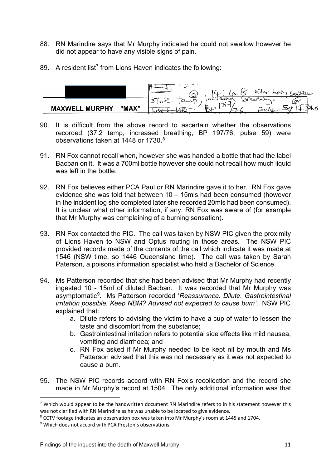- 88. RN Marindire says that Mr Murphy indicated he could not swallow however he did not appear to have any visible signs of pain.
- 89. A resident list<sup>[7](#page-12-0)</sup> from Lions Haven indicates the following:



- 90. It is difficult from the above record to ascertain whether the observations recorded (37.2 temp, increased breathing, BP 197/76, pulse 59) were observations taken at 1448 or 1730.<sup>8</sup>
- 91. RN Fox cannot recall when, however she was handed a bottle that had the label Bacban on it. It was a 700ml bottle however she could not recall how much liquid was left in the bottle.
- 92. RN Fox believes either PCA Paul or RN Marindire gave it to her. RN Fox gave evidence she was told that between 10 – 15mls had been consumed (however in the incident log she completed later she recorded 20mls had been consumed). It is unclear what other information, if any, RN Fox was aware of (for example that Mr Murphy was complaining of a burning sensation).
- 93. RN Fox contacted the PIC. The call was taken by NSW PIC given the proximity of Lions Haven to NSW and Optus routing in those areas. The NSW PIC provided records made of the contents of the call which indicate it was made at 1546 (NSW time, so 1446 Queensland time). The call was taken by Sarah Paterson, a poisons information specialist who held a Bachelor of Science.
- 94. Ms Patterson recorded that she had been advised that Mr Murphy had recently ingested 10 - 15ml of diluted Bacban. It was recorded that Mr Murphy was asymptomatic[9](#page-12-2). Ms Patterson recorded '*Reassurance. Dilute. Gastrointestinal irritation possible. Keep NBM? Advised not expected to cause burn'*. NSW PIC explained that:
	- a. Dilute refers to advising the victim to have a cup of water to lessen the taste and discomfort from the substance;
	- b. Gastrointestinal irritation refers to potential side effects like mild nausea, vomiting and diarrhoea; and
	- c. RN Fox asked if Mr Murphy needed to be kept nil by mouth and Ms Patterson advised that this was not necessary as it was not expected to cause a burn.
- 95. The NSW PIC records accord with RN Fox's recollection and the record she made in Mr Murphy's record at 1504. The only additional information was that

<span id="page-12-0"></span> $<sup>7</sup>$  Which would appear to be the handwritten document RN Marindire refers to in his statement however this</sup> was not clarified with RN Marindire as he was unable to be located to give evidence.

<span id="page-12-1"></span><sup>8</sup> CCTV footage indicates an observation box was taken into Mr Murphy's room at 1445 and 1704.

<span id="page-12-2"></span><sup>9</sup> Which does not accord with PCA Preston's observations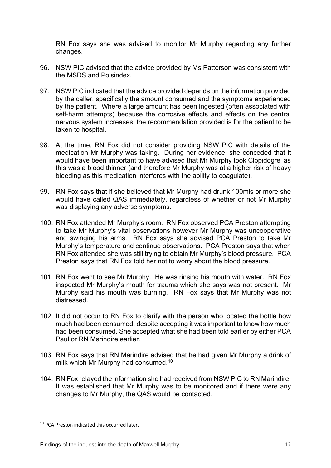RN Fox says she was advised to monitor Mr Murphy regarding any further changes.

- 96. NSW PIC advised that the advice provided by Ms Patterson was consistent with the MSDS and Poisindex.
- 97. NSW PIC indicated that the advice provided depends on the information provided by the caller, specifically the amount consumed and the symptoms experienced by the patient. Where a large amount has been ingested (often associated with self-harm attempts) because the corrosive effects and effects on the central nervous system increases, the recommendation provided is for the patient to be taken to hospital.
- 98. At the time, RN Fox did not consider providing NSW PIC with details of the medication Mr Murphy was taking. During her evidence, she conceded that it would have been important to have advised that Mr Murphy took Clopidogrel as this was a blood thinner (and therefore Mr Murphy was at a higher risk of heavy bleeding as this medication interferes with the ability to coagulate).
- 99. RN Fox says that if she believed that Mr Murphy had drunk 100mls or more she would have called QAS immediately, regardless of whether or not Mr Murphy was displaying any adverse symptoms.
- 100. RN Fox attended Mr Murphy's room. RN Fox observed PCA Preston attempting to take Mr Murphy's vital observations however Mr Murphy was uncooperative and swinging his arms. RN Fox says she advised PCA Preston to take Mr Murphy's temperature and continue observations. PCA Preston says that when RN Fox attended she was still trying to obtain Mr Murphy's blood pressure. PCA Preston says that RN Fox told her not to worry about the blood pressure.
- 101. RN Fox went to see Mr Murphy. He was rinsing his mouth with water. RN Fox inspected Mr Murphy's mouth for trauma which she says was not present. Mr Murphy said his mouth was burning. RN Fox says that Mr Murphy was not distressed.
- 102. It did not occur to RN Fox to clarify with the person who located the bottle how much had been consumed, despite accepting it was important to know how much had been consumed. She accepted what she had been told earlier by either PCA Paul or RN Marindire earlier.
- 103. RN Fox says that RN Marindire advised that he had given Mr Murphy a drink of milk which Mr Murphy had consumed.<sup>[10](#page-13-0)</sup>
- 104. RN Fox relayed the information she had received from NSW PIC to RN Marindire. It was established that Mr Murphy was to be monitored and if there were any changes to Mr Murphy, the QAS would be contacted.

<span id="page-13-0"></span><sup>10</sup> PCA Preston indicated this occurred later.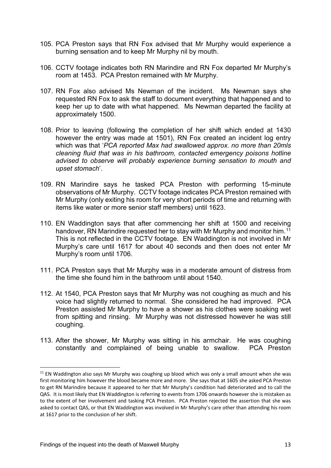- 105. PCA Preston says that RN Fox advised that Mr Murphy would experience a burning sensation and to keep Mr Murphy nil by mouth.
- 106. CCTV footage indicates both RN Marindire and RN Fox departed Mr Murphy's room at 1453. PCA Preston remained with Mr Murphy.
- 107. RN Fox also advised Ms Newman of the incident. Ms Newman says she requested RN Fox to ask the staff to document everything that happened and to keep her up to date with what happened. Ms Newman departed the facility at approximately 1500.
- 108. Prior to leaving (following the completion of her shift which ended at 1430 however the entry was made at 1501), RN Fox created an incident log entry which was that '*PCA reported Max had swallowed approx. no more than 20mls cleaning fluid that was in his bathroom, contacted emergency poisons hotline advised to observe will probably experience burning sensation to mouth and upset stomach*'.
- 109. RN Marindire says he tasked PCA Preston with performing 15-minute observations of Mr Murphy. CCTV footage indicates PCA Preston remained with Mr Murphy (only exiting his room for very short periods of time and returning with items like water or more senior staff members) until 1623.
- 110. EN Waddington says that after commencing her shift at 1500 and receiving handover, RN Marindire requested her to stay with Mr Murphy and monitor him.<sup>[11](#page-14-0)</sup> This is not reflected in the CCTV footage. EN Waddington is not involved in Mr Murphy's care until 1617 for about 40 seconds and then does not enter Mr Murphy's room until 1706.
- 111. PCA Preston says that Mr Murphy was in a moderate amount of distress from the time she found him in the bathroom until about 1540.
- 112. At 1540, PCA Preston says that Mr Murphy was not coughing as much and his voice had slightly returned to normal. She considered he had improved. PCA Preston assisted Mr Murphy to have a shower as his clothes were soaking wet from spitting and rinsing. Mr Murphy was not distressed however he was still coughing.
- 113. After the shower, Mr Murphy was sitting in his armchair. He was coughing constantly and complained of being unable to swallow. PCA Preston

<span id="page-14-0"></span><sup>&</sup>lt;sup>11</sup> EN Waddington also says Mr Murphy was coughing up blood which was only a small amount when she was first monitoring him however the blood became more and more. She says that at 1605 she asked PCA Preston to get RN Marindire because it appeared to her that Mr Murphy's condition had deteriorated and to call the QAS. It is most likely that EN Waddington is referring to events from 1706 onwards however she is mistaken as to the extent of her involvement and tasking PCA Preston. PCA Preston rejected the assertion that she was asked to contact QAS, or that EN Waddington was involved in Mr Murphy's care other than attending his room at 1617 prior to the conclusion of her shift.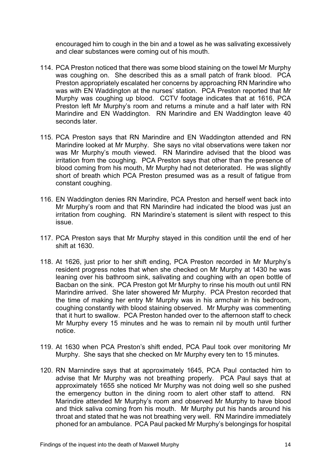encouraged him to cough in the bin and a towel as he was salivating excessively and clear substances were coming out of his mouth.

- 114. PCA Preston noticed that there was some blood staining on the towel Mr Murphy was coughing on. She described this as a small patch of frank blood. PCA Preston appropriately escalated her concerns by approaching RN Marindire who was with EN Waddington at the nurses' station. PCA Preston reported that Mr Murphy was coughing up blood. CCTV footage indicates that at 1616, PCA Preston left Mr Murphy's room and returns a minute and a half later with RN Marindire and EN Waddington. RN Marindire and EN Waddington leave 40 seconds later
- 115. PCA Preston says that RN Marindire and EN Waddington attended and RN Marindire looked at Mr Murphy. She says no vital observations were taken nor was Mr Murphy's mouth viewed. RN Marindire advised that the blood was irritation from the coughing. PCA Preston says that other than the presence of blood coming from his mouth, Mr Murphy had not deteriorated. He was slightly short of breath which PCA Preston presumed was as a result of fatigue from constant coughing.
- 116. EN Waddington denies RN Marindire, PCA Preston and herself went back into Mr Murphy's room and that RN Marindire had indicated the blood was just an irritation from coughing. RN Marindire's statement is silent with respect to this issue.
- 117. PCA Preston says that Mr Murphy stayed in this condition until the end of her shift at 1630.
- 118. At 1626, just prior to her shift ending, PCA Preston recorded in Mr Murphy's resident progress notes that when she checked on Mr Murphy at 1430 he was leaning over his bathroom sink, salivating and coughing with an open bottle of Bacban on the sink. PCA Preston got Mr Murphy to rinse his mouth out until RN Marindire arrived. She later showered Mr Murphy. PCA Preston recorded that the time of making her entry Mr Murphy was in his armchair in his bedroom, coughing constantly with blood staining observed. Mr Murphy was commenting that it hurt to swallow. PCA Preston handed over to the afternoon staff to check Mr Murphy every 15 minutes and he was to remain nil by mouth until further notice.
- 119. At 1630 when PCA Preston's shift ended, PCA Paul took over monitoring Mr Murphy. She says that she checked on Mr Murphy every ten to 15 minutes.
- 120. RN Marnindire says that at approximately 1645, PCA Paul contacted him to advise that Mr Murphy was not breathing properly. PCA Paul says that at approximately 1655 she noticed Mr Murphy was not doing well so she pushed the emergency button in the dining room to alert other staff to attend. RN Marindire attended Mr Murphy's room and observed Mr Murphy to have blood and thick saliva coming from his mouth. Mr Murphy put his hands around his throat and stated that he was not breathing very well. RN Marindire immediately phoned for an ambulance. PCA Paul packed Mr Murphy's belongings for hospital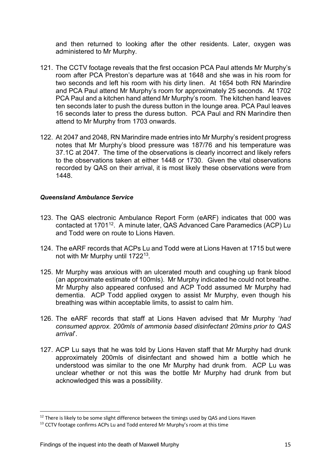and then returned to looking after the other residents. Later, oxygen was administered to Mr Murphy.

- 121. The CCTV footage reveals that the first occasion PCA Paul attends Mr Murphy's room after PCA Preston's departure was at 1648 and she was in his room for two seconds and left his room with his dirty linen. At 1654 both RN Marindire and PCA Paul attend Mr Murphy's room for approximately 25 seconds. At 1702 PCA Paul and a kitchen hand attend Mr Murphy's room. The kitchen hand leaves ten seconds later to push the duress button in the lounge area. PCA Paul leaves 16 seconds later to press the duress button. PCA Paul and RN Marindire then attend to Mr Murphy from 1703 onwards.
- 122. At 2047 and 2048, RN Marindire made entries into Mr Murphy's resident progress notes that Mr Murphy's blood pressure was 187/76 and his temperature was 37.1C at 2047. The time of the observations is clearly incorrect and likely refers to the observations taken at either 1448 or 1730. Given the vital observations recorded by QAS on their arrival, it is most likely these observations were from 1448.

#### <span id="page-16-0"></span>*Queensland Ambulance Service*

- 123. The QAS electronic Ambulance Report Form (eARF) indicates that 000 was contacted at 1701<sup>[12](#page-16-1)</sup>. A minute later, QAS Advanced Care Paramedics (ACP) Lu and Todd were on route to Lions Haven.
- 124. The eARF records that ACPs Lu and Todd were at Lions Haven at 1715 but were not with Mr Murphy until 1722[13.](#page-16-2)
- 125. Mr Murphy was anxious with an ulcerated mouth and coughing up frank blood (an approximate estimate of 100mls). Mr Murphy indicated he could not breathe. Mr Murphy also appeared confused and ACP Todd assumed Mr Murphy had dementia. ACP Todd applied oxygen to assist Mr Murphy, even though his breathing was within acceptable limits, to assist to calm him.
- 126. The eARF records that staff at Lions Haven advised that Mr Murphy '*had consumed approx. 200mls of ammonia based disinfectant 20mins prior to QAS arrival*'.
- 127. ACP Lu says that he was told by Lions Haven staff that Mr Murphy had drunk approximately 200mls of disinfectant and showed him a bottle which he understood was similar to the one Mr Murphy had drunk from. ACP Lu was unclear whether or not this was the bottle Mr Murphy had drunk from but acknowledged this was a possibility.

<span id="page-16-1"></span><sup>&</sup>lt;sup>12</sup> There is likely to be some slight difference between the timings used by QAS and Lions Haven  $13$  CCTV footage confirms ACPs Lu and Todd entered Mr Murphy's room at this time

<span id="page-16-2"></span>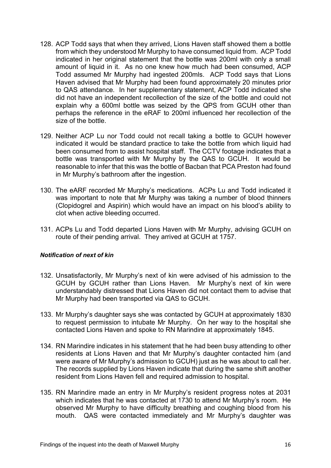- 128. ACP Todd says that when they arrived, Lions Haven staff showed them a bottle from which they understood Mr Murphy to have consumed liquid from. ACP Todd indicated in her original statement that the bottle was 200ml with only a small amount of liquid in it. As no one knew how much had been consumed, ACP Todd assumed Mr Murphy had ingested 200mls. ACP Todd says that Lions Haven advised that Mr Murphy had been found approximately 20 minutes prior to QAS attendance. In her supplementary statement, ACP Todd indicated she did not have an independent recollection of the size of the bottle and could not explain why a 600ml bottle was seized by the QPS from GCUH other than perhaps the reference in the eRAF to 200ml influenced her recollection of the size of the bottle.
- 129. Neither ACP Lu nor Todd could not recall taking a bottle to GCUH however indicated it would be standard practice to take the bottle from which liquid had been consumed from to assist hospital staff. The CCTV footage indicates that a bottle was transported with Mr Murphy by the QAS to GCUH. It would be reasonable to infer that this was the bottle of Bacban that PCA Preston had found in Mr Murphy's bathroom after the ingestion.
- 130. The eARF recorded Mr Murphy's medications. ACPs Lu and Todd indicated it was important to note that Mr Murphy was taking a number of blood thinners (Clopidogrel and Aspirin) which would have an impact on his blood's ability to clot when active bleeding occurred.
- 131. ACPs Lu and Todd departed Lions Haven with Mr Murphy, advising GCUH on route of their pending arrival. They arrived at GCUH at 1757.

#### <span id="page-17-0"></span>*Notification of next of kin*

- 132. Unsatisfactorily, Mr Murphy's next of kin were advised of his admission to the GCUH by GCUH rather than Lions Haven. Mr Murphy's next of kin were understandably distressed that Lions Haven did not contact them to advise that Mr Murphy had been transported via QAS to GCUH.
- 133. Mr Murphy's daughter says she was contacted by GCUH at approximately 1830 to request permission to intubate Mr Murphy. On her way to the hospital she contacted Lions Haven and spoke to RN Marindire at approximately 1845.
- 134. RN Marindire indicates in his statement that he had been busy attending to other residents at Lions Haven and that Mr Murphy's daughter contacted him (and were aware of Mr Murphy's admission to GCUH) just as he was about to call her. The records supplied by Lions Haven indicate that during the same shift another resident from Lions Haven fell and required admission to hospital.
- 135. RN Marindire made an entry in Mr Murphy's resident progress notes at 2031 which indicates that he was contacted at 1730 to attend Mr Murphy's room. He observed Mr Murphy to have difficulty breathing and coughing blood from his mouth. QAS were contacted immediately and Mr Murphy's daughter was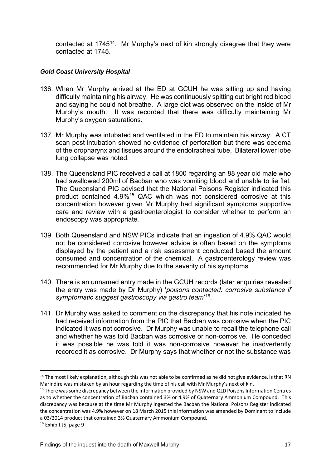contacted at 1745[14](#page-18-1). Mr Murphy's next of kin strongly disagree that they were contacted at 1745.

#### <span id="page-18-0"></span>*Gold Coast University Hospital*

- 136. When Mr Murphy arrived at the ED at GCUH he was sitting up and having difficulty maintaining his airway. He was continuously spitting out bright red blood and saying he could not breathe. A large clot was observed on the inside of Mr Murphy's mouth. It was recorded that there was difficulty maintaining Mr Murphy's oxygen saturations.
- 137. Mr Murphy was intubated and ventilated in the ED to maintain his airway. A CT scan post intubation showed no evidence of perforation but there was oedema of the oropharynx and tissues around the endotracheal tube. Bilateral lower lobe lung collapse was noted.
- 138. The Queensland PIC received a call at 1800 regarding an 88 year old male who had swallowed 200ml of Bacban who was vomiting blood and unable to lie flat. The Queensland PIC advised that the National Poisons Register indicated this product contained 4.9%[15](#page-18-2) QAC which was not considered corrosive at this concentration however given Mr Murphy had significant symptoms supportive care and review with a gastroenterologist to consider whether to perform an endoscopy was appropriate*.*
- 139. Both Queensland and NSW PICs indicate that an ingestion of 4.9% QAC would not be considered corrosive however advice is often based on the symptoms displayed by the patient and a risk assessment conducted based the amount consumed and concentration of the chemical. A gastroenterology review was recommended for Mr Murphy due to the severity of his symptoms.
- 140. There is an unnamed entry made in the GCUH records (later enquiries revealed the entry was made by Dr Murphy) '*poisons contacted: corrosive substance if symptomatic suggest gastroscopy via gastro team*' [16](#page-18-3).
- 141. Dr Murphy was asked to comment on the discrepancy that his note indicated he had received information from the PIC that Bacban was corrosive when the PIC indicated it was not corrosive. Dr Murphy was unable to recall the telephone call and whether he was told Bacban was corrosive or non-corrosive. He conceded it was possible he was told it was non-corrosive however he inadvertently recorded it as corrosive. Dr Murphy says that whether or not the substance was

<span id="page-18-1"></span> $14$  The most likely explanation, although this was not able to be confirmed as he did not give evidence, is that RN Marindire was mistaken by an hour regarding the time of his call with Mr Murphy's next of kin.

<span id="page-18-2"></span><sup>&</sup>lt;sup>15</sup> There was some discrepancy between the information provided by NSW and QLD Poisons Information Centres as to whether the concentration of Bacban contained 3% or 4.9% of Quaternary Ammonium Compound. This discrepancy was because at the time Mr Murphy ingested the Bacban the National Poisons Register indicated the concentration was 4.9% however on 18 March 2015 this information was amended by Dominant to include a 03/2014 product that contained 3% Quaternary Ammonium Compound.

<span id="page-18-3"></span><sup>16</sup> Exhibit J5, page 9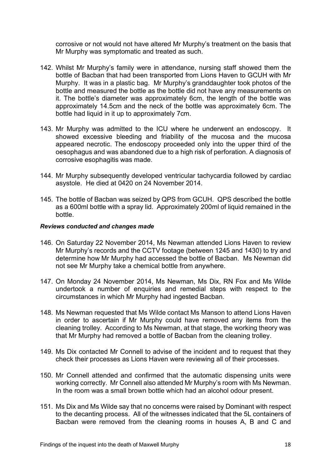corrosive or not would not have altered Mr Murphy's treatment on the basis that Mr Murphy was symptomatic and treated as such.

- 142. Whilst Mr Murphy's family were in attendance, nursing staff showed them the bottle of Bacban that had been transported from Lions Haven to GCUH with Mr Murphy. It was in a plastic bag. Mr Murphy's granddaughter took photos of the bottle and measured the bottle as the bottle did not have any measurements on it. The bottle's diameter was approximately 6cm, the length of the bottle was approximately 14.5cm and the neck of the bottle was approximately 6cm. The bottle had liquid in it up to approximately 7cm.
- 143. Mr Murphy was admitted to the ICU where he underwent an endoscopy. It showed excessive bleeding and friability of the mucosa and the mucosa appeared necrotic. The endoscopy proceeded only into the upper third of the oesophagus and was abandoned due to a high risk of perforation. A diagnosis of corrosive esophagitis was made.
- 144. Mr Murphy subsequently developed ventricular tachycardia followed by cardiac asystole. He died at 0420 on 24 November 2014.
- 145. The bottle of Bacban was seized by QPS from GCUH. QPS described the bottle as a 600ml bottle with a spray lid. Approximately 200ml of liquid remained in the bottle.

#### <span id="page-19-0"></span>*Reviews conducted and changes made*

- 146. On Saturday 22 November 2014, Ms Newman attended Lions Haven to review Mr Murphy's records and the CCTV footage (between 1245 and 1430) to try and determine how Mr Murphy had accessed the bottle of Bacban. Ms Newman did not see Mr Murphy take a chemical bottle from anywhere.
- 147. On Monday 24 November 2014, Ms Newman, Ms Dix, RN Fox and Ms Wilde undertook a number of enquiries and remedial steps with respect to the circumstances in which Mr Murphy had ingested Bacban.
- 148. Ms Newman requested that Ms Wilde contact Ms Manson to attend Lions Haven in order to ascertain if Mr Murphy could have removed any items from the cleaning trolley. According to Ms Newman, at that stage, the working theory was that Mr Murphy had removed a bottle of Bacban from the cleaning trolley.
- 149. Ms Dix contacted Mr Connell to advise of the incident and to request that they check their processes as Lions Haven were reviewing all of their processes.
- 150. Mr Connell attended and confirmed that the automatic dispensing units were working correctly. Mr Connell also attended Mr Murphy's room with Ms Newman. In the room was a small brown bottle which had an alcohol odour present.
- 151. Ms Dix and Ms Wilde say that no concerns were raised by Dominant with respect to the decanting process. All of the witnesses indicated that the 5L containers of Bacban were removed from the cleaning rooms in houses A, B and C and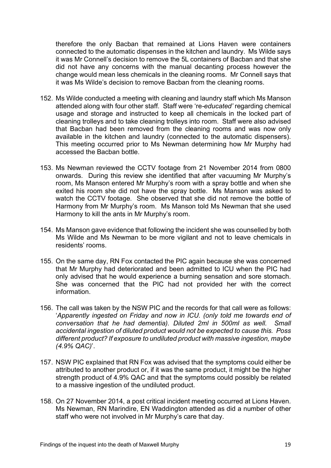therefore the only Bacban that remained at Lions Haven were containers connected to the automatic dispenses in the kitchen and laundry. Ms Wilde says it was Mr Connell's decision to remove the 5L containers of Bacban and that she did not have any concerns with the manual decanting process however the change would mean less chemicals in the cleaning rooms. Mr Connell says that it was Ms Wilde's decision to remove Bacban from the cleaning rooms.

- 152. Ms Wilde conducted a meeting with cleaning and laundry staff which Ms Manson attended along with four other staff. Staff were 're*-educated'* regarding chemical usage and storage and instructed to keep all chemicals in the locked part of cleaning trolleys and to take cleaning trolleys into room. Staff were also advised that Bacban had been removed from the cleaning rooms and was now only available in the kitchen and laundry (connected to the automatic dispensers). This meeting occurred prior to Ms Newman determining how Mr Murphy had accessed the Bacban bottle.
- 153. Ms Newman reviewed the CCTV footage from 21 November 2014 from 0800 onwards. During this review she identified that after vacuuming Mr Murphy's room, Ms Manson entered Mr Murphy's room with a spray bottle and when she exited his room she did not have the spray bottle. Ms Manson was asked to watch the CCTV footage. She observed that she did not remove the bottle of Harmony from Mr Murphy's room. Ms Manson told Ms Newman that she used Harmony to kill the ants in Mr Murphy's room.
- 154. Ms Manson gave evidence that following the incident she was counselled by both Ms Wilde and Ms Newman to be more vigilant and not to leave chemicals in residents' rooms.
- 155. On the same day, RN Fox contacted the PIC again because she was concerned that Mr Murphy had deteriorated and been admitted to ICU when the PIC had only advised that he would experience a burning sensation and sore stomach. She was concerned that the PIC had not provided her with the correct information.
- 156. The call was taken by the NSW PIC and the records for that call were as follows: '*Apparently ingested on Friday and now in ICU. (only told me towards end of conversation that he had dementia). Diluted 2ml in 500ml as well. Small accidental ingestion of diluted product would not be expected to cause this. Poss different product? If exposure to undiluted product with massive ingestion, maybe (4.9% QAC)*'.
- 157. NSW PIC explained that RN Fox was advised that the symptoms could either be attributed to another product or, if it was the same product, it might be the higher strength product of 4.9% QAC and that the symptoms could possibly be related to a massive ingestion of the undiluted product.
- 158. On 27 November 2014, a post critical incident meeting occurred at Lions Haven. Ms Newman, RN Marindire, EN Waddington attended as did a number of other staff who were not involved in Mr Murphy's care that day.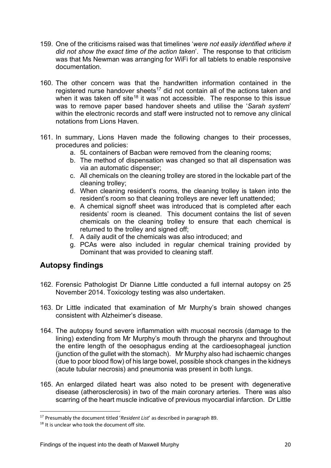- 159. One of the criticisms raised was that timelines '*were not easily identified where it did not show the exact time of the action taken*'. The response to that criticism was that Ms Newman was arranging for WiFi for all tablets to enable responsive documentation.
- 160. The other concern was that the handwritten information contained in the registered nurse handover sheets<sup>17</sup> did not contain all of the actions taken and when it was taken off site<sup>[18](#page-21-2)</sup> it was not accessible. The response to this issue was to remove paper based handover sheets and utilise the '*Sarah system*' within the electronic records and staff were instructed not to remove any clinical notations from Lions Haven.
- 161. In summary, Lions Haven made the following changes to their processes, procedures and policies:
	- a. 5L containers of Bacban were removed from the cleaning rooms;
	- b. The method of dispensation was changed so that all dispensation was via an automatic dispenser;
	- c. All chemicals on the cleaning trolley are stored in the lockable part of the cleaning trolley;
	- d. When cleaning resident's rooms, the cleaning trolley is taken into the resident's room so that cleaning trolleys are never left unattended;
	- e. A chemical signoff sheet was introduced that is completed after each residents' room is cleaned. This document contains the list of seven chemicals on the cleaning trolley to ensure that each chemical is returned to the trolley and signed off;
	- f. A daily audit of the chemicals was also introduced; and
	- g. PCAs were also included in regular chemical training provided by Dominant that was provided to cleaning staff.

## <span id="page-21-0"></span>**Autopsy findings**

- 162. Forensic Pathologist Dr Dianne Little conducted a full internal autopsy on 25 November 2014. Toxicology testing was also undertaken.
- 163. Dr Little indicated that examination of Mr Murphy's brain showed changes consistent with Alzheimer's disease.
- 164. The autopsy found severe inflammation with mucosal necrosis (damage to the lining) extending from Mr Murphy's mouth through the pharynx and throughout the entire length of the oesophagus ending at the cardioesophageal junction (junction of the gullet with the stomach). Mr Murphy also had ischaemic changes (due to poor blood flow) of his large bowel, possible shock changes in the kidneys (acute tubular necrosis) and pneumonia was present in both lungs.
- 165. An enlarged dilated heart was also noted to be present with degenerative disease (atherosclerosis) in two of the main coronary arteries. There was also scarring of the heart muscle indicative of previous myocardial infarction. Dr Little

<span id="page-21-1"></span><sup>17</sup> Presumably the document titled '*Resident List*' as described in paragraph 89.

<span id="page-21-2"></span><sup>&</sup>lt;sup>18</sup> It is unclear who took the document off site.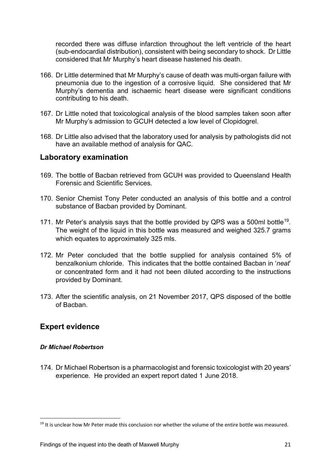recorded there was diffuse infarction throughout the left ventricle of the heart (sub-endocardial distribution), consistent with being secondary to shock. Dr Little considered that Mr Murphy's heart disease hastened his death.

- 166. Dr Little determined that Mr Murphy's cause of death was multi-organ failure with pneumonia due to the ingestion of a corrosive liquid. She considered that Mr Murphy's dementia and ischaemic heart disease were significant conditions contributing to his death.
- 167. Dr Little noted that toxicological analysis of the blood samples taken soon after Mr Murphy's admission to GCUH detected a low level of Clopidogrel.
- 168. Dr Little also advised that the laboratory used for analysis by pathologists did not have an available method of analysis for QAC.

### <span id="page-22-0"></span>**Laboratory examination**

- 169. The bottle of Bacban retrieved from GCUH was provided to Queensland Health Forensic and Scientific Services.
- 170. Senior Chemist Tony Peter conducted an analysis of this bottle and a control substance of Bacban provided by Dominant.
- 171. Mr Peter's analysis says that the bottle provided by QPS was a 500ml bottle<sup>19</sup>. The weight of the liquid in this bottle was measured and weighed 325.7 grams which equates to approximately 325 mls.
- 172. Mr Peter concluded that the bottle supplied for analysis contained 5% of benzalkonium chloride. This indicates that the bottle contained Bacban in '*neat*' or concentrated form and it had not been diluted according to the instructions provided by Dominant.
- 173. After the scientific analysis, on 21 November 2017, QPS disposed of the bottle of Bacban.

## <span id="page-22-1"></span>**Expert evidence**

#### <span id="page-22-2"></span>*Dr Michael Robertson*

174. Dr Michael Robertson is a pharmacologist and forensic toxicologist with 20 years' experience. He provided an expert report dated 1 June 2018.

<span id="page-22-3"></span><sup>&</sup>lt;sup>19</sup> It is unclear how Mr Peter made this conclusion nor whether the volume of the entire bottle was measured.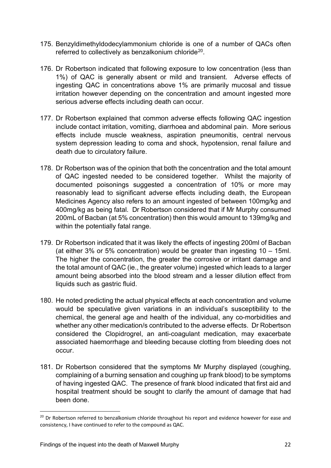- 175. Benzyldimethyldodecylammonium chloride is one of a number of QACs often referred to collectively as benzalkonium chloride<sup>[20](#page-23-0)</sup>.
- 176. Dr Robertson indicated that following exposure to low concentration (less than 1%) of QAC is generally absent or mild and transient. Adverse effects of ingesting QAC in concentrations above 1% are primarily mucosal and tissue irritation however depending on the concentration and amount ingested more serious adverse effects including death can occur.
- 177. Dr Robertson explained that common adverse effects following QAC ingestion include contact irritation, vomiting, diarrhoea and abdominal pain. More serious effects include muscle weakness, aspiration pneumonitis, central nervous system depression leading to coma and shock, hypotension, renal failure and death due to circulatory failure.
- 178. Dr Robertson was of the opinion that both the concentration and the total amount of QAC ingested needed to be considered together. Whilst the majority of documented poisonings suggested a concentration of 10% or more may reasonably lead to significant adverse effects including death, the European Medicines Agency also refers to an amount ingested of between 100mg/kg and 400mg/kg as being fatal. Dr Robertson considered that if Mr Murphy consumed 200mL of Bacban (at 5% concentration) then this would amount to 139mg/kg and within the potentially fatal range.
- 179. Dr Robertson indicated that it was likely the effects of ingesting 200ml of Bacban (at either 3% or 5% concentration) would be greater than ingesting 10 – 15ml. The higher the concentration, the greater the corrosive or irritant damage and the total amount of QAC (ie., the greater volume) ingested which leads to a larger amount being absorbed into the blood stream and a lesser dilution effect from liquids such as gastric fluid.
- 180. He noted predicting the actual physical effects at each concentration and volume would be speculative given variations in an individual's susceptibility to the chemical, the general age and health of the individual, any co-morbidities and whether any other medication/s contributed to the adverse effects. Dr Robertson considered the Clopidrogrel, an anti-coagulant medication, may exacerbate associated haemorrhage and bleeding because clotting from bleeding does not occur.
- 181. Dr Robertson considered that the symptoms Mr Murphy displayed (coughing, complaining of a burning sensation and coughing up frank blood) to be symptoms of having ingested QAC. The presence of frank blood indicated that first aid and hospital treatment should be sought to clarify the amount of damage that had been done.

<span id="page-23-0"></span><sup>&</sup>lt;sup>20</sup> Dr Robertson referred to benzalkonium chloride throughout his report and evidence however for ease and consistency, I have continued to refer to the compound as QAC.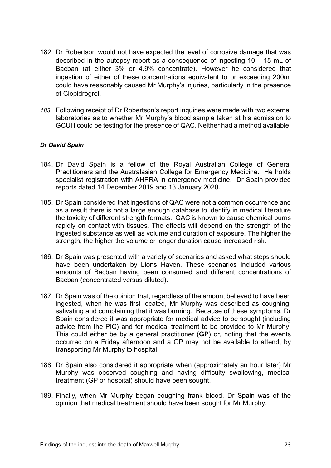- 182. Dr Robertson would not have expected the level of corrosive damage that was described in the autopsy report as a consequence of ingesting 10 – 15 mL of Bacban (at either 3% or 4.9% concentrate). However he considered that ingestion of either of these concentrations equivalent to or exceeding 200ml could have reasonably caused Mr Murphy's injuries, particularly in the presence of Clopidrogrel.
- *183.* Following receipt of Dr Robertson's report inquiries were made with two external laboratories as to whether Mr Murphy's blood sample taken at his admission to GCUH could be testing for the presence of QAC. Neither had a method available.

#### <span id="page-24-0"></span>*Dr David Spain*

- 184. Dr David Spain is a fellow of the Royal Australian College of General Practitioners and the Australasian College for Emergency Medicine. He holds specialist registration with AHPRA in emergency medicine. Dr Spain provided reports dated 14 December 2019 and 13 January 2020.
- 185. Dr Spain considered that ingestions of QAC were not a common occurrence and as a result there is not a large enough database to identify in medical literature the toxicity of different strength formats. QAC is known to cause chemical burns rapidly on contact with tissues. The effects will depend on the strength of the ingested substance as well as volume and duration of exposure. The higher the strength, the higher the volume or longer duration cause increased risk.
- 186. Dr Spain was presented with a variety of scenarios and asked what steps should have been undertaken by Lions Haven. These scenarios included various amounts of Bacban having been consumed and different concentrations of Bacban (concentrated versus diluted).
- 187. Dr Spain was of the opinion that, regardless of the amount believed to have been ingested, when he was first located, Mr Murphy was described as coughing, salivating and complaining that it was burning. Because of these symptoms, Dr Spain considered it was appropriate for medical advice to be sought (including advice from the PIC) and for medical treatment to be provided to Mr Murphy. This could either be by a general practitioner (**GP**) or, noting that the events occurred on a Friday afternoon and a GP may not be available to attend, by transporting Mr Murphy to hospital.
- 188. Dr Spain also considered it appropriate when (approximately an hour later) Mr Murphy was observed coughing and having difficulty swallowing, medical treatment (GP or hospital) should have been sought.
- 189. Finally, when Mr Murphy began coughing frank blood, Dr Spain was of the opinion that medical treatment should have been sought for Mr Murphy.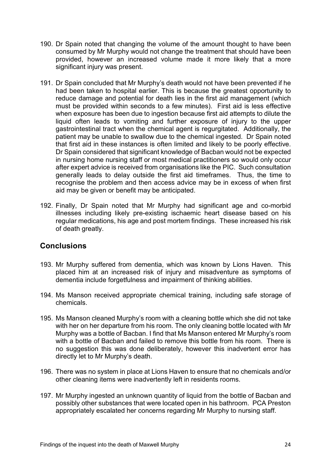- 190. Dr Spain noted that changing the volume of the amount thought to have been consumed by Mr Murphy would not change the treatment that should have been provided, however an increased volume made it more likely that a more significant injury was present.
- 191. Dr Spain concluded that Mr Murphy's death would not have been prevented if he had been taken to hospital earlier. This is because the greatest opportunity to reduce damage and potential for death lies in the first aid management (which must be provided within seconds to a few minutes). First aid is less effective when exposure has been due to ingestion because first aid attempts to dilute the liquid often leads to vomiting and further exposure of injury to the upper gastrointestinal tract when the chemical agent is regurgitated. Additionally, the patient may be unable to swallow due to the chemical ingested. Dr Spain noted that first aid in these instances is often limited and likely to be poorly effective. Dr Spain considered that significant knowledge of Bacban would not be expected in nursing home nursing staff or most medical practitioners so would only occur after expert advice is received from organisations like the PIC. Such consultation generally leads to delay outside the first aid timeframes. Thus, the time to recognise the problem and then access advice may be in excess of when first aid may be given or benefit may be anticipated.
- 192. Finally, Dr Spain noted that Mr Murphy had significant age and co-morbid illnesses including likely pre-existing ischaemic heart disease based on his regular medications, his age and post mortem findings. These increased his risk of death greatly.

## <span id="page-25-0"></span>**Conclusions**

- 193. Mr Murphy suffered from dementia, which was known by Lions Haven. This placed him at an increased risk of injury and misadventure as symptoms of dementia include forgetfulness and impairment of thinking abilities.
- 194. Ms Manson received appropriate chemical training, including safe storage of chemicals.
- 195. Ms Manson cleaned Murphy's room with a cleaning bottle which she did not take with her on her departure from his room. The only cleaning bottle located with Mr Murphy was a bottle of Bacban. I find that Ms Manson entered Mr Murphy's room with a bottle of Bacban and failed to remove this bottle from his room. There is no suggestion this was done deliberately, however this inadvertent error has directly let to Mr Murphy's death.
- 196. There was no system in place at Lions Haven to ensure that no chemicals and/or other cleaning items were inadvertently left in residents rooms.
- 197. Mr Murphy ingested an unknown quantity of liquid from the bottle of Bacban and possibly other substances that were located open in his bathroom. PCA Preston appropriately escalated her concerns regarding Mr Murphy to nursing staff.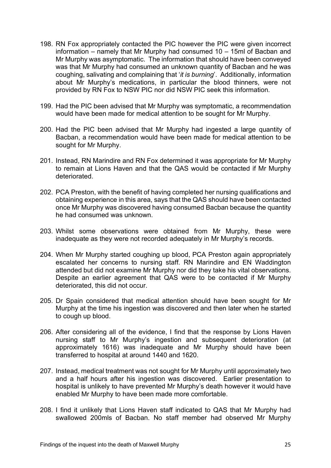- 198. RN Fox appropriately contacted the PIC however the PIC were given incorrect information – namely that Mr Murphy had consumed 10 – 15ml of Bacban and Mr Murphy was asymptomatic. The information that should have been conveyed was that Mr Murphy had consumed an unknown quantity of Bacban and he was coughing, salivating and complaining that '*it is burning*'. Additionally, information about Mr Murphy's medications, in particular the blood thinners, were not provided by RN Fox to NSW PIC nor did NSW PIC seek this information.
- 199. Had the PIC been advised that Mr Murphy was symptomatic, a recommendation would have been made for medical attention to be sought for Mr Murphy.
- 200. Had the PIC been advised that Mr Murphy had ingested a large quantity of Bacban, a recommendation would have been made for medical attention to be sought for Mr Murphy.
- 201. Instead, RN Marindire and RN Fox determined it was appropriate for Mr Murphy to remain at Lions Haven and that the QAS would be contacted if Mr Murphy deteriorated.
- 202. PCA Preston, with the benefit of having completed her nursing qualifications and obtaining experience in this area, says that the QAS should have been contacted once Mr Murphy was discovered having consumed Bacban because the quantity he had consumed was unknown.
- 203. Whilst some observations were obtained from Mr Murphy, these were inadequate as they were not recorded adequately in Mr Murphy's records.
- 204. When Mr Murphy started coughing up blood, PCA Preston again appropriately escalated her concerns to nursing staff. RN Marindire and EN Waddington attended but did not examine Mr Murphy nor did they take his vital observations. Despite an earlier agreement that QAS were to be contacted if Mr Murphy deteriorated, this did not occur.
- 205. Dr Spain considered that medical attention should have been sought for Mr Murphy at the time his ingestion was discovered and then later when he started to cough up blood.
- 206. After considering all of the evidence, I find that the response by Lions Haven nursing staff to Mr Murphy's ingestion and subsequent deterioration (at approximately 1616) was inadequate and Mr Murphy should have been transferred to hospital at around 1440 and 1620.
- 207. Instead, medical treatment was not sought for Mr Murphy until approximately two and a half hours after his ingestion was discovered. Earlier presentation to hospital is unlikely to have prevented Mr Murphy's death however it would have enabled Mr Murphy to have been made more comfortable.
- 208. I find it unlikely that Lions Haven staff indicated to QAS that Mr Murphy had swallowed 200mls of Bacban. No staff member had observed Mr Murphy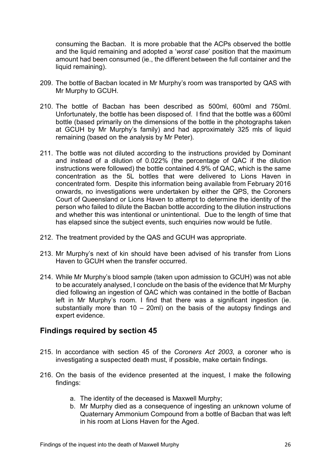consuming the Bacban. It is more probable that the ACPs observed the bottle and the liquid remaining and adopted a '*worst case*' position that the maximum amount had been consumed (ie., the different between the full container and the liquid remaining).

- 209. The bottle of Bacban located in Mr Murphy's room was transported by QAS with Mr Murphy to GCUH.
- 210. The bottle of Bacban has been described as 500ml, 600ml and 750ml. Unfortunately, the bottle has been disposed of. I find that the bottle was a 600ml bottle (based primarily on the dimensions of the bottle in the photographs taken at GCUH by Mr Murphy's family) and had approximately 325 mls of liquid remaining (based on the analysis by Mr Peter).
- 211. The bottle was not diluted according to the instructions provided by Dominant and instead of a dilution of 0.022% (the percentage of QAC if the dilution instructions were followed) the bottle contained 4.9% of QAC, which is the same concentration as the 5L bottles that were delivered to Lions Haven in concentrated form. Despite this information being available from February 2016 onwards, no investigations were undertaken by either the QPS, the Coroners Court of Queensland or Lions Haven to attempt to determine the identity of the person who failed to dilute the Bacban bottle according to the dilution instructions and whether this was intentional or unintentional. Due to the length of time that has elapsed since the subject events, such enquiries now would be futile.
- 212. The treatment provided by the QAS and GCUH was appropriate.
- 213. Mr Murphy's next of kin should have been advised of his transfer from Lions Haven to GCUH when the transfer occurred.
- 214. While Mr Murphy's blood sample (taken upon admission to GCUH) was not able to be accurately analysed, I conclude on the basis of the evidence that Mr Murphy died following an ingestion of QAC which was contained in the bottle of Bacban left in Mr Murphy's room. I find that there was a significant ingestion (ie. substantially more than 10 – 20ml) on the basis of the autopsy findings and expert evidence.

## <span id="page-27-0"></span>**Findings required by section 45**

- 215. In accordance with section 45 of the *Coroners Act 2003*, a coroner who is investigating a suspected death must, if possible, make certain findings.
- 216. On the basis of the evidence presented at the inquest, I make the following findings:
	- a. The identity of the deceased is Maxwell Murphy;
	- b. Mr Murphy died as a consequence of ingesting an unknown volume of Quaternary Ammonium Compound from a bottle of Bacban that was left in his room at Lions Haven for the Aged.